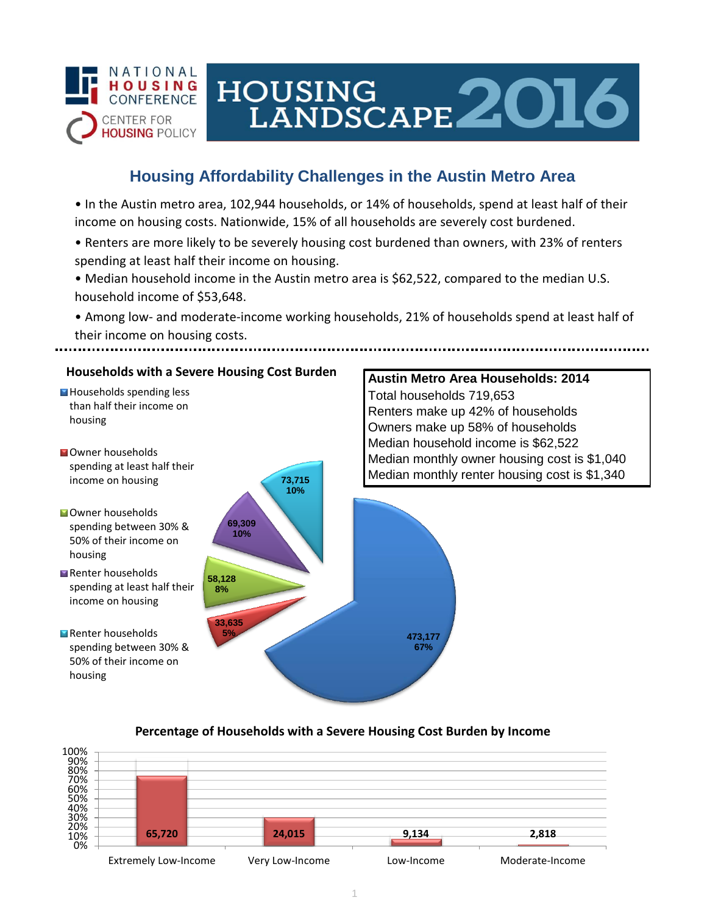

# HOUSING LANDSCAPE 2016

## **Housing Affordability Challenges in the Austin Metro Area**

• In the Austin metro area, 102,944 households, or 14% of households, spend at least half of their income on housing costs. Nationwide, 15% of all households are severely cost burdened.

- Renters are more likely to be severely housing cost burdened than owners, with 23% of renters spending at least half their income on housing.
- Median household income in the Austin metro area is \$62,522, compared to the median U.S. household income of \$53,648.

• Among low- and moderate-income working households, 21% of households spend at least half of their income on housing costs.



### **Percentage of Households with a Severe Housing Cost Burden by Income**